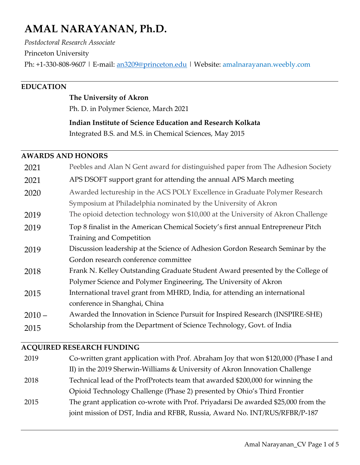# **AMAL NARAYANAN, Ph.D.**

*Postdoctoral Research Associate* Princeton University Ph: +1-330-808-9607 | E-mail: [an3209@princeton.edu](mailto:an3209@princeton.edu) | Website: [amalnarayanan.weebly.com](https://amalnarayanan.weebly.com/)

### **EDUCATION**

# **The University of Akron**

Ph. D. in Polymer Science, March 2021

# **Indian Institute of Science Education and Research Kolkata**

Integrated B.S. and M.S. in Chemical Sciences, May 2015

# **AWARDS AND HONORS**

| 2021     | Peebles and Alan N Gent award for distinguished paper from The Adhesion Society   |
|----------|-----------------------------------------------------------------------------------|
| 2021     | APS DSOFT support grant for attending the annual APS March meeting                |
| 2020     | Awarded lectureship in the ACS POLY Excellence in Graduate Polymer Research       |
|          | Symposium at Philadelphia nominated by the University of Akron                    |
| 2019     | The opioid detection technology won \$10,000 at the University of Akron Challenge |
| 2019     | Top 8 finalist in the American Chemical Society's first annual Entrepreneur Pitch |
|          | Training and Competition                                                          |
| 2019     | Discussion leadership at the Science of Adhesion Gordon Research Seminar by the   |
|          | Gordon research conference committee                                              |
| 2018     | Frank N. Kelley Outstanding Graduate Student Award presented by the College of    |
|          | Polymer Science and Polymer Engineering, The University of Akron                  |
| 2015     | International travel grant from MHRD, India, for attending an international       |
|          | conference in Shanghai, China                                                     |
| $2010 -$ | Awarded the Innovation in Science Pursuit for Inspired Research (INSPIRE-SHE)     |
| 2015     | Scholarship from the Department of Science Technology, Govt. of India             |

### **ACQUIRED RESEARCH FUNDING**

| 2019 | Co-written grant application with Prof. Abraham Joy that won \$120,000 (Phase I and |
|------|-------------------------------------------------------------------------------------|
|      | II) in the 2019 Sherwin-Williams & University of Akron Innovation Challenge         |
| 2018 | Technical lead of the ProfProtects team that awarded \$200,000 for winning the      |
|      | Opioid Technology Challenge (Phase 2) presented by Ohio's Third Frontier            |
| 2015 | The grant application co-wrote with Prof. Priyadarsi De awarded \$25,000 from the   |
|      | joint mission of DST, India and RFBR, Russia, Award No. INT/RUS/RFBR/P-187          |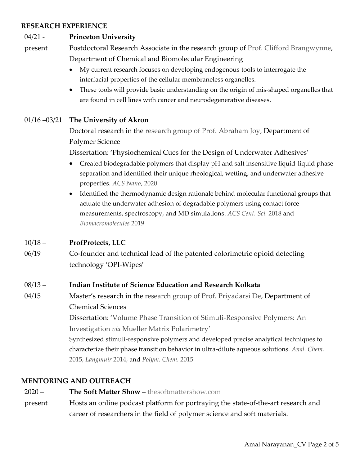### **RESEARCH EXPERIENCE**

#### $04/21 -$ **Princeton University**

present Postdoctoral Research Associate in the research group of [Prof. Clifford Brangwynne,](https://softlivingmatter.princeton.edu/) Department of Chemical and Biomolecular Engineering

- My current research focuses on developing endogenous tools to interrogate the interfacial properties of the cellular membraneless organelles.
- These tools will provide basic understanding on the origin of mis-shaped organelles that are found in cell lines with cancer and neurodegenerative diseases.

### 01/16 –03/21 **The University of Akron**

Doctoral research in the [research group of Prof. Abraham Joy,](http://joyresearch.org/) Department of Polymer Science

Dissertation: 'Physiochemical Cues for the Design of Underwater Adhesives'

- Created biodegradable polymers [that display pH and salt insensitive liquid-liquid](https://pubs.acs.org/doi/pdf/10.1021/acsnano.0c02396) phase [separation and identified their unique rheological, wetting, and underwater adhesive](https://pubs.acs.org/doi/pdf/10.1021/acsnano.0c02396)  [properties.](https://pubs.acs.org/doi/pdf/10.1021/acsnano.0c02396) *ACS Nano*, 2020
- Identified the thermodynamic design rationale behind molecular functional groups that actuate the underwater adhesion of degradable polymers using contact force measurements, spectroscopy, and MD simulations. *[ACS Cent. Sci.](https://pubs.acs.org/doi/pdf/10.1021/acscentsci.8b00526)* 2018 and *[Biomacromolecules](https://pubs.acs.org/doi/pdf/10.1021/acs.biomac.9b00383)* 2019

#### $10/18 -$ **ProfProtects, LLC**

06/19 Co-founder and technical lead of the patented colorimetric opioid detecting technology 'OPI-Wipes'

#### $08/13 -$ **Indian Institute of Science Education and Research Kolkata**

04/15 Master's research in the [research group of Prof. Priyadarsi De,](https://www.iiserkol.ac.in/~p_de/) Department of Chemical Sciences

> Dissertation: '[Volume Phase Transition of Stimuli-Responsive Polymers: An](http://eprints.iiserkol.ac.in/485/)  Investigation *via* [Mueller Matrix Polarimetry'](http://eprints.iiserkol.ac.in/485/)

Synthesized stimuli-responsive polymers and developed precise analytical techniques to characterize their phase transition behavior in ultra-dilute aqueous solutions. *[Anal. Chem.](https://pubs.acs.org/doi/pdf/10.1021/acs.analchem.5b01794)* [2015,](https://pubs.acs.org/doi/pdf/10.1021/acs.analchem.5b01794) *[Langmuir](https://pubs.acs.org/doi/pdf/10.1021/la503452f)* 2014, and *[Polym. Chem.](https://pubs.rsc.org/en/content/articlepdf/2015/py/c5py00919g)* 2015

### **MENTORING AND OUTREACH**

- $2020 -$ **The Soft Matter Show –** [thesoftmattershow.com](http://thesoftmattershow.com/)
- present Hosts an online podcast platform for portraying the state-of-the-art research and career of researchers in the field of polymer science and soft materials.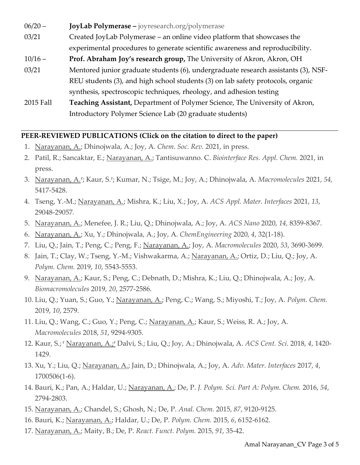| $06/20 -$ | JoyLab Polymerase - joyresearch.org/polymerase                                     |
|-----------|------------------------------------------------------------------------------------|
| 03/21     | Created JoyLab Polymerase – an online video platform that showcases the            |
|           | experimental procedures to generate scientific awareness and reproducibility.      |
| $10/16 -$ | Prof. Abraham Joy's research group, The University of Akron, Akron, OH             |
| 03/21     | Mentored junior graduate students (6), undergraduate research assistants (3), NSF- |
|           | REU students (3), and high school students (3) on lab safety protocols, organic    |
|           | synthesis, spectroscopic techniques, rheology, and adhesion testing                |
| 2015 Fall | Teaching Assistant, Department of Polymer Science, The University of Akron,        |
|           | Introductory Polymer Science Lab (20 graduate students)                            |

### **PEER-REVIEWED PUBLICATIONS (Click on the citation to direct to the paper)**

- 1. Narayanan, A.; Dhinojwala, A.; Joy, A. *Chem. Soc. Rev.* 2021, in press.
- 2. Patil, R.; Sancaktar, E.; Narayanan, A.; Tantisuwanno. C. *Biointerface Res. Appl. Chem.* 2021, in press.
- 3. Narayanan, A.# ; Kaur, S.# [; Kumar, N.; Tsige, M.; Joy, A.; Dhinojwala, A.](https://pubs.acs.org/doi/pdf/10.1021/acs.macromol.1c00742) *Macromolecules* 2021, *54,* 5417-5428.
- 4. [Tseng, Y.-M.; Narayanan, A.; Mishra, K.; Liu, X.; Joy, A.](https://pubs.acs.org/doi/10.1021/acsami.1c04348) *ACS Appl. Mater. Interfaces* 2021, *13*, [29048-29057](https://pubs.acs.org/doi/10.1021/acsami.1c04348)*.*
- 5. [Narayanan, A.; Menefee, J. R.; Liu, Q.; Dhinojwala, A.; Joy, A.](https://pubs.acs.org/doi/pdf/10.1021/acsnano.0c02396) *ACS Nano* 2020, *14,* 8359-8367.
- 6. [Narayanan, A.; Xu, Y.; Dhinojwala, A.; Joy, A.](https://www.mdpi.com/2305-7084/4/2/32) *ChemEngineering* 2020, *4*, 32(1-18).
- 7. [Liu, Q.; Jain, T.; Peng, C.; Peng, F.; Narayanan, A.; Joy, A.](https://pubs.acs.org/doi/pdf/10.1021/acs.macromol.9b02558) *Macromolecules* 2020, *53*, 3690-3699.
- 8. [Jain, T.; Clay, W.; Tseng, Y.-M.; Vishwakarma, A.; Narayanan, A.; Ortiz, D.; Liu, Q.; Joy, A.](https://pubs.rsc.org/en/content/articlehtml/2019/py/c9py00879a)  *[Polym. Chem.](https://pubs.rsc.org/en/content/articlehtml/2019/py/c9py00879a)* 2019, *10*, 5543-5553.
- 9. [Narayanan, A.; Kaur, S.; Peng, C.; Debnath, D.; Mishra, K.; Liu, Q.; Dhinojwala, A.; Joy, A.](https://pubs.acs.org/doi/abs/10.1021/acs.biomac.9b00383) *[Biomacromolecules](https://pubs.acs.org/doi/abs/10.1021/acs.biomac.9b00383)* 2019, *20*, 2577-2586.
- 10. [Liu, Q.; Yuan, S.; Guo, Y.; Narayanan, A.; Peng, C.; Wang, S.; Miyoshi, T.; Joy, A.](https://pubs.rsc.org/en/content/articlepdf/2019/py/c9py00274j) *Polym. Chem.* 2019, *10*[, 2579.](https://pubs.rsc.org/en/content/articlepdf/2019/py/c9py00274j)
- 11. [Liu, Q.; Wang, C.; Guo, Y.; Peng, C.; Narayanan, A.; Kaur, S.; Weiss, R. A.; Joy, A.](https://pubs.acs.org/doi/abs/10.1021/acs.macromol.8b01781) *[Macromolecules](https://pubs.acs.org/doi/abs/10.1021/acs.macromol.8b01781)* 2018, *51*, 9294-9305.
- 12. Kaur, S.; # Narayanan, A.;# [Dalvi, S.; Liu, Q.; Joy, A.; Dhinojwala, A.](https://pubs.acs.org/doi/abs/10.1021/acscentsci.8b00526) *ACS Cent. Sci.* 2018, *4*, 1420- [1429.](https://pubs.acs.org/doi/abs/10.1021/acscentsci.8b00526)
- 13. [Xu, Y.; Liu, Q.; Narayanan, A.; Jain, D.; Dhinojwala, A.; Joy, A.](https://onlinelibrary.wiley.com/doi/full/10.1002/admi.201700506) *Adv. Mater. Interfaces* 2017, *4*, [1700506\(1-6\).](https://onlinelibrary.wiley.com/doi/full/10.1002/admi.201700506)
- 14. [Bauri, K.; Pan, A.; Haldar, U.; Narayanan, A.; De, P.](https://onlinelibrary.wiley.com/doi/abs/10.1002/pola.28165) *J. Polym. Sci. Part A: Polym. Chem.* 2016, *54*, [2794-2803.](https://onlinelibrary.wiley.com/doi/abs/10.1002/pola.28165)
- 15. [Narayanan, A.; Chandel, S.; Ghosh, N.; De, P.](https://pubs.acs.org/doi/abs/10.1021/acs.analchem.5b01794) *Anal. Chem.* 2015, *87*, 9120-9125.
- 16. [Bauri, K.; Narayanan, A.; Haldar, U.; De, P.](https://pubs.rsc.org/en/content/articlehtml/2015/py/c5py00919g) *Polym. Chem.* 2015, *6*, 6152-6162.
- 17. [Narayanan, A.; Maity, B.; De, P.](https://www.sciencedirect.com/science/article/pii/S1381514815000462) *React. Funct. Polym.* 2015, *91*, 35-42.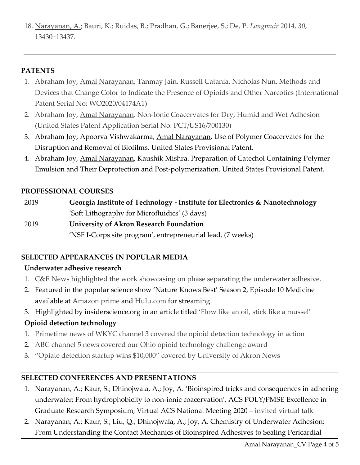18. [Narayanan, A.; Bauri, K.; Ruidas, B.; Pradhan, G.; Banerjee, S.; De, P.](https://pubs.acs.org/doi/abs/10.1021/la503452f) *Langmuir* 2014, *30*, 13430−[13437.](https://pubs.acs.org/doi/abs/10.1021/la503452f)

# **PATENTS**

- 1. [Abraham Joy, Amal Narayanan, Tanmay Jain, Russell Catania, Nicholas Nun. Methods and](https://patentimages.storage.googleapis.com/87/ab/16/986b233283a260/WO2020014174A1.pdf)  [Devices that Change Color to Indicate the Presence of Opioids and Other Narcotics \(International](https://patentimages.storage.googleapis.com/87/ab/16/986b233283a260/WO2020014174A1.pdf)  Patent [Serial No: WO2020/04174A1\)](https://patentimages.storage.googleapis.com/87/ab/16/986b233283a260/WO2020014174A1.pdf)
- 2. Abraham Joy, Amal Narayanan. Non-Ionic Coacervates for Dry, Humid and Wet Adhesion [\(United States Patent Application Serial No: PCT/US16/700130\)](https://patentimages.storage.googleapis.com/65/b3/13/116ddfa5d0253c/US11033573.pdf)
- 3. Abraham Joy, Apoorva Vishwakarma, Amal Narayanan. Use of Polymer Coacervates for the Disruption and Removal of Biofilms. United States Provisional Patent.
- 4. Abraham Joy, Amal Narayanan, Kaushik Mishra. Preparation of Catechol Containing Polymer Emulsion and Their Deprotection and Post-polymerization. United States Provisional Patent.

# **PROFESSIONAL COURSES**

- 2019 **Georgia Institute of Technology - Institute for Electronics & Nanotechnology** 'Soft Lithography for Microfluidics' (3 days)
- 2019 **University of Akron Research Foundation** 'NSF I-Corps site program', entrepreneurial lead, (7 weeks)

# **SELECTED APPEARANCES IN POPULAR MEDIA**

# **Underwater adhesive research**

- 1. [C&E News highlighted the work showcasing on phase separating the underwater adhesive.](https://cen.acs.org/materials/adhesives/Mussel-inspired-polymer-glue-sticks/98/web/2020/07?utm_source=LatestNews&utm_medium=LatestNews&utm_campaign=CENRSS)
- 2. Featured in the popular science show 'Nature Knows Best' Season 2, Episode 10 Medicine available at [Amazon](https://www.amazon.com/Nature-and-Physical-Activity/dp/B076YVP3NK/ref=sr_1_1?ie=UTF8&qid=1541035784&sr=8-1&keywords=nature+knows+best) prime and [Hulu.com](https://www.hulu.com/account/addons/confirm?from=live-tv&source=search&referring_entity_id=6cded069-22f4-4841-a08d-c96444ece8ff&redirect_url=%2Fseries%2Fxploration-nature-knows-best-6cded069-22f4-4841-a08d-c96444ece8ff%3Fskip_onboarding%3Dtrue) for streaming.
- 3. Highlighted by insiderscience.org in an article titled 'Flow like [an oil, stick like a](https://www.insidescience.org/news/flow-oil-stick-mussel) mussel'

# **Opioid detection technology**

- 1. [Primetime news of WKYC channel 3 covered the opioid detection technology in action](https://wkyc.com/embeds/video/95-8257173/iframe?jwsource=cl)
- 2. ABC channel 5 news covered [our Ohio opioid technology challenge](https://www.news5cleveland.com/news/local-news/akron-canton-news/universtiy-of-akron-professor-awarded-200-000-to-protect-first-responders-from-opioids) award
- 3. "Opiate detection startup wins \$10,000" [covered by University of Akron News](https://uakron.edu/im/news/opiate-detection-innovation-startup-wins-10k/)

# **SELECTED CONFERENCES AND PRESENTATIONS**

- 1. Narayanan, A.; Kaur, S.; Dhinojwala, A.; Joy, A. 'Bioinspired tricks and consequences in adhering underwater: From hydrophobicity to non-ionic coacervation', ACS POLY/PMSE Excellence in Graduate Research Symposium, Virtual ACS National Meeting 2020 – invited [virtual talk](https://www.polyacs.net/poly2020excellencesite?fbclid=IwAR25NScEXhFSAL_nZhe9kDjGjIQNHpQdSuVFGyFTbEVyQzGECJtN0da3aIU)
- 2. Narayanan, A.; Kaur, S.; Liu, Q.; Dhinojwala, A.; Joy, A. Chemistry of Underwater Adhesion: From Understanding the Contact Mechanics of Bioinspired Adhesives to Sealing Pericardial